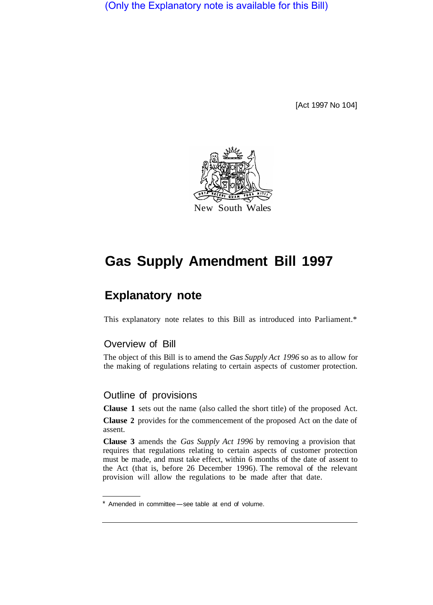(Only the Explanatory note is available for this Bill)

[Act 1997 No 104]



## **Gas Supply Amendment Bill 1997**

## **Explanatory note**

This explanatory note relates to this Bill as introduced into Parliament.\*

## Overview of Bill

The object of this Bill is to amend the *Gas Supply Act 1996* so as to allow for the making of regulations relating to certain aspects of customer protection.

## Outline of provisions

**Clause 1** sets out the name (also called the short title) of the proposed Act.

**Clause 2** provides for the commencement of the proposed Act on the date of assent.

**Clause 3** amends the *Gas Supply Act 1996* by removing a provision that requires that regulations relating to certain aspects of customer protection must be made, and must take effect, within 6 months of the date of assent to the Act (that is, before 26 December 1996). The removal of the relevant provision will allow the regulations to be made after that date.

<sup>\*</sup> Amended in committee-see table at end of volume.